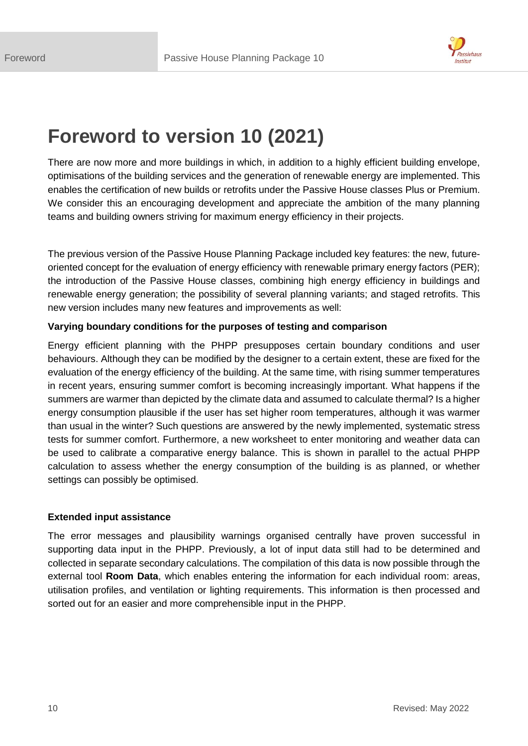

# **Foreword to version 10 (2021)**

There are now more and more buildings in which, in addition to a highly efficient building envelope, optimisations of the building services and the generation of renewable energy are implemented. This enables the certification of new builds or retrofits under the Passive House classes Plus or Premium. We consider this an encouraging development and appreciate the ambition of the many planning teams and building owners striving for maximum energy efficiency in their projects.

The previous version of the Passive House Planning Package included key features: the new, futureoriented concept for the evaluation of energy efficiency with renewable primary energy factors (PER); the introduction of the Passive House classes, combining high energy efficiency in buildings and renewable energy generation; the possibility of several planning variants; and staged retrofits. This new version includes many new features and improvements as well:

## **Varying boundary conditions for the purposes of testing and comparison**

Energy efficient planning with the PHPP presupposes certain boundary conditions and user behaviours. Although they can be modified by the designer to a certain extent, these are fixed for the evaluation of the energy efficiency of the building. At the same time, with rising summer temperatures in recent years, ensuring summer comfort is becoming increasingly important. What happens if the summers are warmer than depicted by the climate data and assumed to calculate thermal? Is a higher energy consumption plausible if the user has set higher room temperatures, although it was warmer than usual in the winter? Such questions are answered by the newly implemented, systematic stress tests for summer comfort. Furthermore, a new worksheet to enter monitoring and weather data can be used to calibrate a comparative energy balance. This is shown in parallel to the actual PHPP calculation to assess whether the energy consumption of the building is as planned, or whether settings can possibly be optimised.

## **Extended input assistance**

The error messages and plausibility warnings organised centrally have proven successful in supporting data input in the PHPP. Previously, a lot of input data still had to be determined and collected in separate secondary calculations. The compilation of this data is now possible through the external tool **Room Data**, which enables entering the information for each individual room: areas, utilisation profiles, and ventilation or lighting requirements. This information is then processed and sorted out for an easier and more comprehensible input in the PHPP.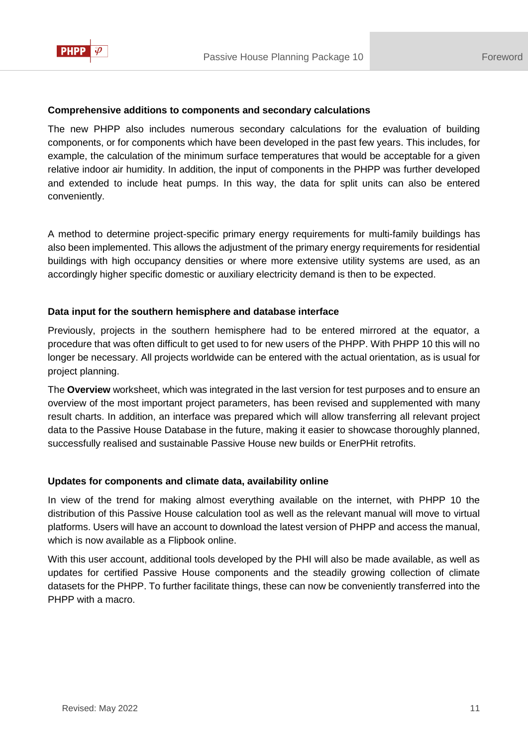

#### **Comprehensive additions to components and secondary calculations**

The new PHPP also includes numerous secondary calculations for the evaluation of building components, or for components which have been developed in the past few years. This includes, for example, the calculation of the minimum surface temperatures that would be acceptable for a given relative indoor air humidity. In addition, the input of components in the PHPP was further developed and extended to include heat pumps. In this way, the data for split units can also be entered conveniently.

A method to determine project-specific primary energy requirements for multi-family buildings has also been implemented. This allows the adjustment of the primary energy requirements for residential buildings with high occupancy densities or where more extensive utility systems are used, as an accordingly higher specific domestic or auxiliary electricity demand is then to be expected.

## **Data input for the southern hemisphere and database interface**

Previously, projects in the southern hemisphere had to be entered mirrored at the equator, a procedure that was often difficult to get used to for new users of the PHPP. With PHPP 10 this will no longer be necessary. All projects worldwide can be entered with the actual orientation, as is usual for project planning.

The **Overview** worksheet, which was integrated in the last version for test purposes and to ensure an overview of the most important project parameters, has been revised and supplemented with many result charts. In addition, an interface was prepared which will allow transferring all relevant project data to the Passive House Database in the future, making it easier to showcase thoroughly planned, successfully realised and sustainable Passive House new builds or EnerPHit retrofits.

## **Updates for components and climate data, availability online**

In view of the trend for making almost everything available on the internet, with PHPP 10 the distribution of this Passive House calculation tool as well as the relevant manual will move to virtual platforms. Users will have an account to download the latest version of PHPP and access the manual, which is now available as a Flipbook online.

With this user account, additional tools developed by the PHI will also be made available, as well as updates for certified Passive House components and the steadily growing collection of climate datasets for the PHPP. To further facilitate things, these can now be conveniently transferred into the PHPP with a macro.